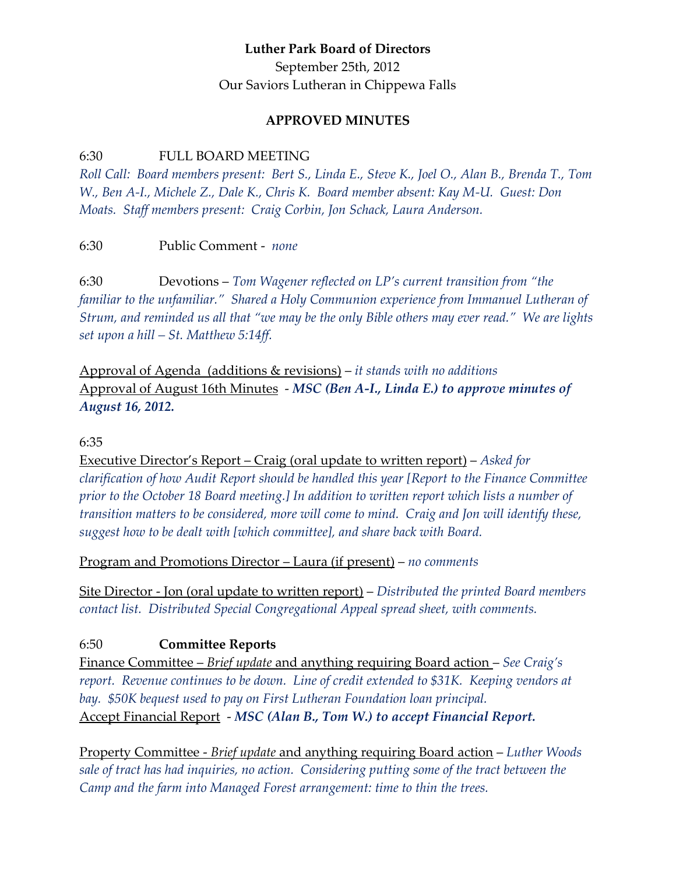### **Luther Park Board of Directors**

September 25th, 2012 Our Saviors Lutheran in Chippewa Falls

#### **APPROVED MINUTES**

#### 6:30 FULL BOARD MEETING

*Roll Call: Board members present: Bert S., Linda E., Steve K., Joel O., Alan B., Brenda T., Tom W., Ben A-I., Michele Z., Dale K., Chris K. Board member absent: Kay M-U. Guest: Don Moats. Staff members present: Craig Corbin, Jon Schack, Laura Anderson.*

6:30 Public Comment - *none*

6:30 Devotions – *Tom Wagener reflected on LP's current transition from "the familiar to the unfamiliar."* Shared a Holy Communion experience from Immanuel Lutheran of *Strum, and reminded us all that "we may be the only Bible others may ever read." We are lights set upon a hill – St. Matthew 5:14ff.*

Approval of Agenda (additions & revisions) – *it stands with no additions* Approval of August 16th Minutes - *MSC (Ben A-I., Linda E.) to approve minutes of August 16, 2012.*

#### 6:35

Executive Director's Report – Craig (oral update to written report) – *Asked for clarification of how Audit Report should be handled this year [Report to the Finance Committee prior to the October 18 Board meeting.] In addition to written report which lists a number of transition matters to be considered, more will come to mind. Craig and Jon will identify these, suggest how to be dealt with [which committee], and share back with Board.*

Program and Promotions Director – Laura (if present) – *no comments*

Site Director - Jon (oral update to written report) – *Distributed the printed Board members contact list. Distributed Special Congregational Appeal spread sheet, with comments.*

### 6:50 **Committee Reports**

Finance Committee – *Brief update* and anything requiring Board action – *See Craig's report. Revenue continues to be down. Line of credit extended to \$31K. Keeping vendors at bay. \$50K bequest used to pay on First Lutheran Foundation loan principal.* Accept Financial Report - *MSC (Alan B., Tom W.) to accept Financial Report.*

Property Committee - *Brief update* and anything requiring Board action – *Luther Woods sale of tract has had inquiries, no action. Considering putting some of the tract between the Camp and the farm into Managed Forest arrangement: time to thin the trees.*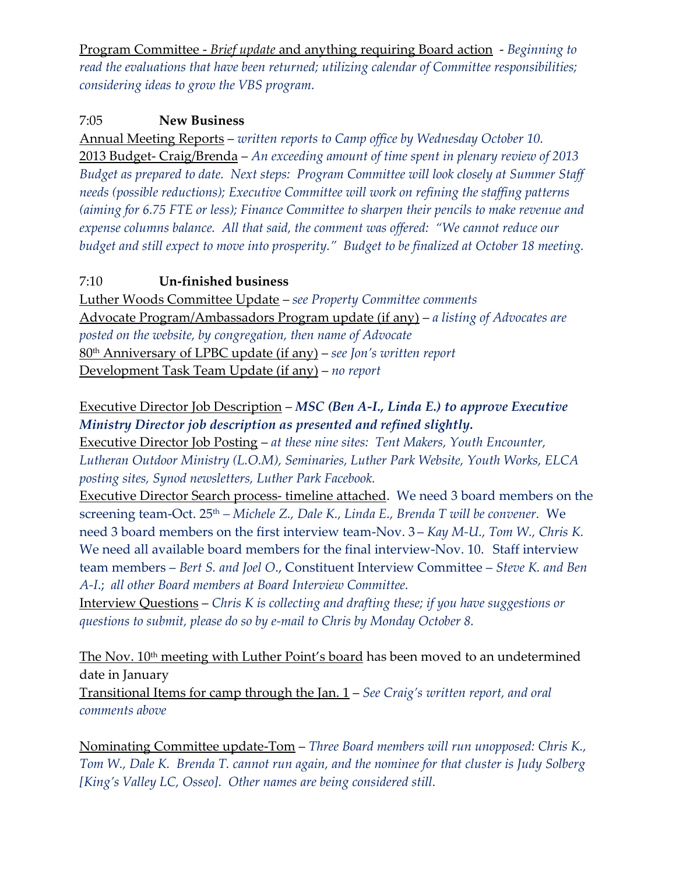Program Committee - *Brief update* and anything requiring Board action - *Beginning to read the evaluations that have been returned; utilizing calendar of Committee responsibilities; considering ideas to grow the VBS program.*

## 7:05 **New Business**

Annual Meeting Reports – *written reports to Camp office by Wednesday October 10.* 2013 Budget- Craig/Brenda – *An exceeding amount of time spent in plenary review of 2013 Budget as prepared to date. Next steps: Program Committee will look closely at Summer Staff needs (possible reductions); Executive Committee will work on refining the staffing patterns (aiming for 6.75 FTE or less); Finance Committee to sharpen their pencils to make revenue and expense columns balance. All that said, the comment was offered: "We cannot reduce our budget and still expect to move into prosperity." Budget to be finalized at October 18 meeting.*

# 7:10 **Un-finished business**

Luther Woods Committee Update – *see Property Committee comments* Advocate Program/Ambassadors Program update (if any) – *a listing of Advocates are posted on the website, by congregation, then name of Advocate* 80th Anniversary of LPBC update (if any) – *see Jon's written report* Development Task Team Update (if any) – *no report*

# Executive Director Job Description – *MSC (Ben A-I., Linda E.) to approve Executive Ministry Director job description as presented and refined slightly.*

Executive Director Job Posting – *at these nine sites: Tent Makers, Youth Encounter, Lutheran Outdoor Ministry (L.O.M), Seminaries, Luther Park Website, Youth Works, ELCA posting sites, Synod newsletters, Luther Park Facebook.*

Executive Director Search process- timeline attached. We need 3 board members on the screening team-Oct. 25th *– Michele Z., Dale K., Linda E., Brenda T will be convener.* We need 3 board members on the first interview team-Nov. 3 – *Kay M-U., Tom W., Chris K.* We need all available board members for the final interview-Nov. 10. Staff interview team members – *Bert S. and Joel O*., Constituent Interview Committee – *Steve K. and Ben A-I*.; *all other Board members at Board Interview Committee.*

Interview Questions – *Chris K is collecting and drafting these; if you have suggestions or questions to submit, please do so by e-mail to Chris by Monday October 8.*

The Nov. 10<sup>th</sup> meeting with Luther Point's board has been moved to an undetermined date in January

Transitional Items for camp through the Jan. 1 – *See Craig's written report, and oral comments above*

Nominating Committee update-Tom – *Three Board members will run unopposed: Chris K., Tom W., Dale K. Brenda T. cannot run again, and the nominee for that cluster is Judy Solberg [King's Valley LC, Osseo]. Other names are being considered still.*